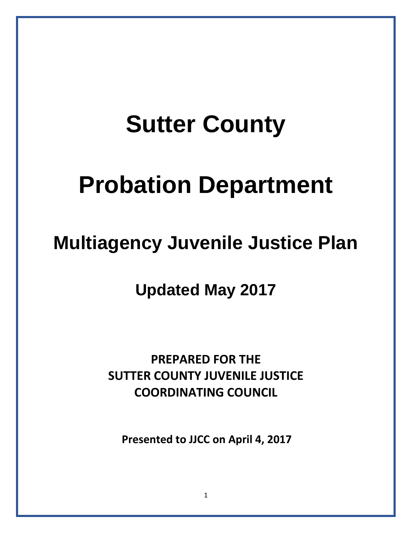# **Sutter County**

# **Probation Department**

### **Multiagency Juvenile Justice Plan**

**Updated May 2017**

**PREPARED FOR THE SUTTER COUNTY JUVENILE JUSTICE COORDINATING COUNCIL** 

**Presented to JJCC on April 4, 2017**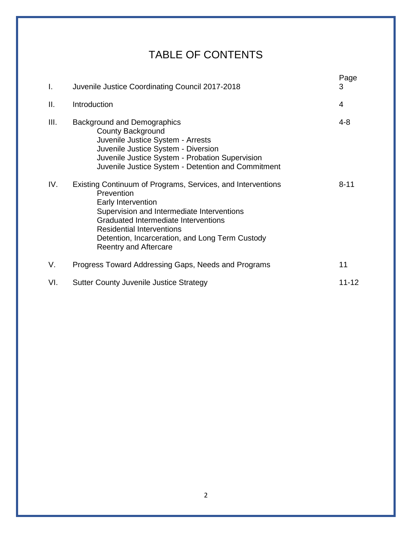### TABLE OF CONTENTS

| I.   | Juvenile Justice Coordinating Council 2017-2018                                                                                                                                                                                                                                                              | Page<br>3 |
|------|--------------------------------------------------------------------------------------------------------------------------------------------------------------------------------------------------------------------------------------------------------------------------------------------------------------|-----------|
| ΙΙ.  | Introduction                                                                                                                                                                                                                                                                                                 | 4         |
| III. | <b>Background and Demographics</b><br>County Background<br>Juvenile Justice System - Arrests<br>Juvenile Justice System - Diversion<br>Juvenile Justice System - Probation Supervision<br>Juvenile Justice System - Detention and Commitment                                                                 | $4 - 8$   |
| IV.  | Existing Continuum of Programs, Services, and Interventions<br>Prevention<br>Early Intervention<br>Supervision and Intermediate Interventions<br>Graduated Intermediate Interventions<br><b>Residential Interventions</b><br>Detention, Incarceration, and Long Term Custody<br><b>Reentry and Aftercare</b> | $8 - 11$  |
| V.   | Progress Toward Addressing Gaps, Needs and Programs                                                                                                                                                                                                                                                          | 11        |
| VI.  | <b>Sutter County Juvenile Justice Strategy</b>                                                                                                                                                                                                                                                               | $11 - 12$ |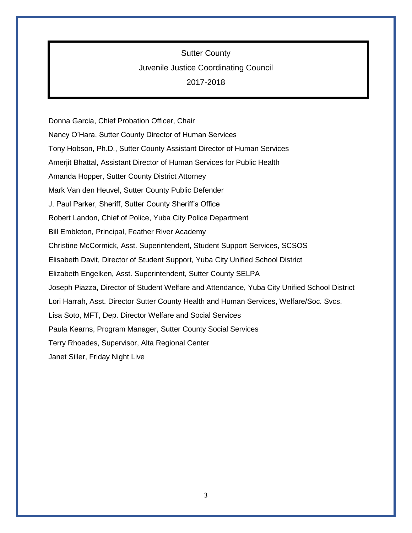Sutter County

#### Juvenile Justice Coordinating Council

2017-2018

Donna Garcia, Chief Probation Officer, Chair Nancy O'Hara, Sutter County Director of Human Services Tony Hobson, Ph.D., Sutter County Assistant Director of Human Services Amerjit Bhattal, Assistant Director of Human Services for Public Health Amanda Hopper, Sutter County District Attorney Mark Van den Heuvel, Sutter County Public Defender J. Paul Parker, Sheriff, Sutter County Sheriff's Office Robert Landon, Chief of Police, Yuba City Police Department Bill Embleton, Principal, Feather River Academy Christine McCormick, Asst. Superintendent, Student Support Services, SCSOS Elisabeth Davit, Director of Student Support, Yuba City Unified School District Elizabeth Engelken, Asst. Superintendent, Sutter County SELPA Joseph Piazza, Director of Student Welfare and Attendance, Yuba City Unified School District Lori Harrah, Asst. Director Sutter County Health and Human Services, Welfare/Soc. Svcs. Lisa Soto, MFT, Dep. Director Welfare and Social Services Paula Kearns, Program Manager, Sutter County Social Services Terry Rhoades, Supervisor, Alta Regional Center Janet Siller, Friday Night Live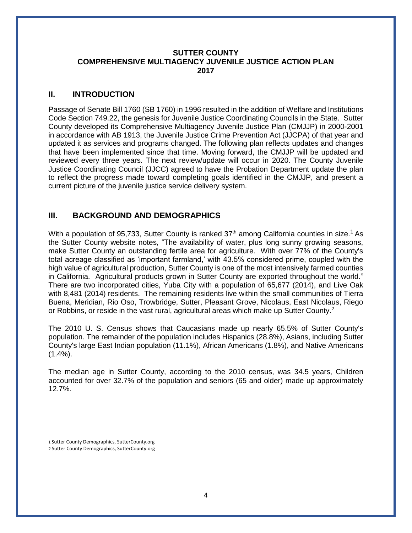#### **SUTTER COUNTY COMPREHENSIVE MULTIAGENCY JUVENILE JUSTICE ACTION PLAN 2017**

#### **II. INTRODUCTION**

Passage of Senate Bill 1760 (SB 1760) in 1996 resulted in the addition of Welfare and Institutions Code Section 749.22, the genesis for Juvenile Justice Coordinating Councils in the State. Sutter County developed its Comprehensive Multiagency Juvenile Justice Plan (CMJJP) in 2000-2001 in accordance with AB 1913, the Juvenile Justice Crime Prevention Act (JJCPA) of that year and updated it as services and programs changed. The following plan reflects updates and changes that have been implemented since that time. Moving forward, the CMJJP will be updated and reviewed every three years. The next review/update will occur in 2020. The County Juvenile Justice Coordinating Council (JJCC) agreed to have the Probation Department update the plan to reflect the progress made toward completing goals identified in the CMJJP, and present a current picture of the juvenile justice service delivery system.

#### **III. BACKGROUND AND DEMOGRAPHICS**

With a population of 95,733, Sutter County is ranked  $37<sup>th</sup>$  among California counties in size.<sup>1</sup> As the Sutter County website notes, "The availability of water, plus long sunny growing seasons, make Sutter County an outstanding fertile area for agriculture. With over 77% of the County's total acreage classified as 'important farmland,' with 43.5% considered prime, coupled with the high value of agricultural production, Sutter County is one of the most intensively farmed counties in California. Agricultural products grown in Sutter County are exported throughout the world." There are two incorporated cities, Yuba City with a population of 65,677 (2014), and Live Oak with 8,481 (2014) residents. The remaining residents live within the small communities of Tierra Buena, Meridian, Rio Oso, Trowbridge, Sutter, Pleasant Grove, Nicolaus, East Nicolaus, Riego or Robbins, or reside in the vast rural, agricultural areas which make up Sutter County.<sup>2</sup>

The 2010 U. S. Census shows that Caucasians made up nearly 65.5% of Sutter County's population. The remainder of the population includes Hispanics (28.8%), Asians, including Sutter County's large East Indian population (11.1%), African Americans (1.8%), and Native Americans  $(1.4\%)$ .

The median age in Sutter County, according to the 2010 census, was 34.5 years, Children accounted for over 32.7% of the population and seniors (65 and older) made up approximately 12.7%.

1 Sutter County Demographics, SutterCounty.org 2 Sutter County Demographics, SutterCounty.org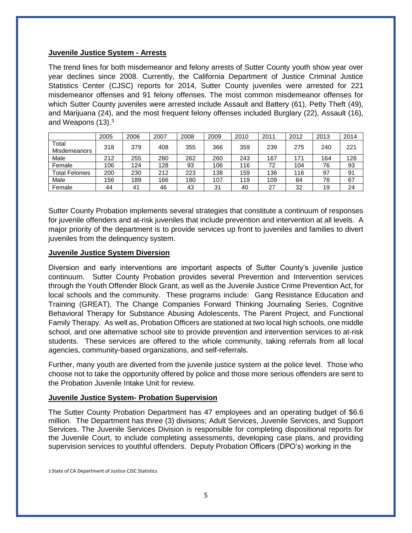#### **Juvenile Justice System - Arrests**

The trend lines for both misdemeanor and felony arrests of Sutter County youth show year over year declines since 2008. Currently, the California Department of Justice Criminal Justice Statistics Center (CJSC) reports for 2014, Sutter County juveniles were arrested for 221 misdemeanor offenses and 91 felony offenses. The most common misdemeanor offenses for which Sutter County juveniles were arrested include Assault and Battery (61), Petty Theft (49), and Marijuana (24), and the most frequent felony offenses included Burglary (22), Assault (16), and Weapons (13).<sup>3</sup>

|                              | 2005 | 2006 | 2007 | 2008 | 2009 | 2010 | 2011 | 2012 | 2013 | 2014 |
|------------------------------|------|------|------|------|------|------|------|------|------|------|
| Total<br><b>Misdemeanors</b> | 318  | 379  | 408  | 355  | 366  | 359  | 239  | 275  | 240  | 221  |
| Male                         | 212  | 255  | 280  | 262  | 260  | 243  | 167  | 171  | 164  | 128  |
| Female                       | 106  | 124  | 128  | 93   | 106  | 116  | 72   | 104  | 76   | 93   |
| <b>Total Felonies</b>        | 200  | 230  | 212  | 223  | 138  | 159  | 136  | 116  | 97   | 91   |
| Male                         | 156  | 189  | 166  | 180  | 107  | 119  | 109  | 84   | 78   | 67   |
| Female                       | 44   | 41   | 46   | 43   | 31   | 40   | 27   | 32   | 19   | 24   |

Sutter County Probation implements several strategies that constitute a continuum of responses for juvenile offenders and at-risk juveniles that include prevention and intervention at all levels. A major priority of the department is to provide services up front to juveniles and families to divert juveniles from the delinquency system.

#### **Juvenile Justice System Diversion**

Diversion and early interventions are important aspects of Sutter County's juvenile justice continuum. Sutter County Probation provides several Prevention and Intervention services through the Youth Offender Block Grant, as well as the Juvenile Justice Crime Prevention Act, for local schools and the community. These programs include: Gang Resistance Education and Training (GREAT), The Change Companies Forward Thinking Journaling Series, Cognitive Behavioral Therapy for Substance Abusing Adolescents, The Parent Project, and Functional Family Therapy. As well as, Probation Officers are stationed at two local high schools, one middle school, and one alternative school site to provide prevention and intervention services to at-risk students. These services are offered to the whole community, taking referrals from all local agencies, community-based organizations, and self-referrals.

Further, many youth are diverted from the juvenile justice system at the police level. Those who choose not to take the opportunity offered by police and those more serious offenders are sent to the Probation Juvenile Intake Unit for review.

#### **Juvenile Justice System- Probation Supervision**

The Sutter County Probation Department has 47 employees and an operating budget of \$6.6 million. The Department has three (3) divisions; Adult Services, Juvenile Services, and Support Services. The Juvenile Services Division is responsible for completing dispositional reports for the Juvenile Court, to include completing assessments, developing case plans, and providing supervision services to youthful offenders. Deputy Probation Officers (DPO's) working in the

3 State of CA Department of Justice CJSC Statistics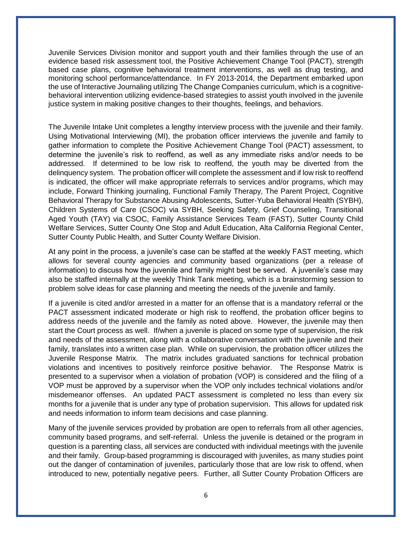Juvenile Services Division monitor and support youth and their families through the use of an evidence based risk assessment tool, the Positive Achievement Change Tool (PACT), strength based case plans, cognitive behavioral treatment interventions, as well as drug testing, and monitoring school performance/attendance. In FY 2013-2014, the Department embarked upon the use of Interactive Journaling utilizing The Change Companies curriculum, which is a cognitivebehavioral intervention utilizing evidence-based strategies to assist youth involved in the juvenile justice system in making positive changes to their thoughts, feelings, and behaviors.

The Juvenile Intake Unit completes a lengthy interview process with the juvenile and their family. Using Motivational Interviewing (MI), the probation officer interviews the juvenile and family to gather information to complete the Positive Achievement Change Tool (PACT) assessment, to determine the juvenile's risk to reoffend, as well as any immediate risks and/or needs to be addressed. If determined to be low risk to reoffend, the youth may be diverted from the delinquency system. The probation officer will complete the assessment and if low risk to reoffend is indicated, the officer will make appropriate referrals to services and/or programs, which may include, Forward Thinking journaling, Functional Family Therapy, The Parent Project, Cognitive Behavioral Therapy for Substance Abusing Adolescents, Sutter-Yuba Behavioral Health (SYBH), Children Systems of Care (CSOC) via SYBH, Seeking Safety, Grief Counseling, Transitional Aged Youth (TAY) via CSOC, Family Assistance Services Team (FAST), Sutter County Child Welfare Services, Sutter County One Stop and Adult Education, Alta California Regional Center, Sutter County Public Health, and Sutter County Welfare Division.

At any point in the process, a juvenile's case can be staffed at the weekly FAST meeting, which allows for several county agencies and community based organizations (per a release of information) to discuss how the juvenile and family might best be served. A juvenile's case may also be staffed internally at the weekly Think Tank meeting, which is a brainstorming session to problem solve ideas for case planning and meeting the needs of the juvenile and family.

If a juvenile is cited and/or arrested in a matter for an offense that is a mandatory referral or the PACT assessment indicated moderate or high risk to reoffend, the probation officer begins to address needs of the juvenile and the family as noted above. However, the juvenile may then start the Court process as well. If/when a juvenile is placed on some type of supervision, the risk and needs of the assessment, along with a collaborative conversation with the juvenile and their family, translates into a written case plan. While on supervision, the probation officer utilizes the Juvenile Response Matrix. The matrix includes graduated sanctions for technical probation violations and incentives to positively reinforce positive behavior. The Response Matrix is presented to a supervisor when a violation of probation (VOP) is considered and the filing of a VOP must be approved by a supervisor when the VOP only includes technical violations and/or misdemeanor offenses. An updated PACT assessment is completed no less than every six months for a juvenile that is under any type of probation supervision. This allows for updated risk and needs information to inform team decisions and case planning.

Many of the juvenile services provided by probation are open to referrals from all other agencies, community based programs, and self-referral. Unless the juvenile is detained or the program in question is a parenting class, all services are conducted with individual meetings with the juvenile and their family. Group-based programming is discouraged with juveniles, as many studies point out the danger of contamination of juveniles, particularly those that are low risk to offend, when introduced to new, potentially negative peers. Further, all Sutter County Probation Officers are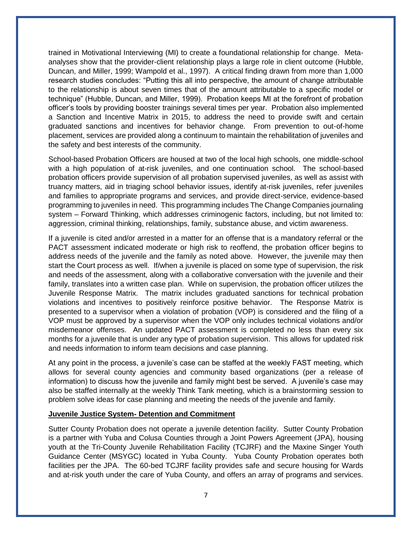trained in Motivational Interviewing (MI) to create a foundational relationship for change. Metaanalyses show that the provider-client relationship plays a large role in client outcome (Hubble, Duncan, and Miller, 1999; Wampold et al., 1997). A critical finding drawn from more than 1,000 research studies concludes: "Putting this all into perspective, the amount of change attributable to the relationship is about seven times that of the amount attributable to a specific model or technique" (Hubble, Duncan, and Miller, 1999). Probation keeps MI at the forefront of probation officer's tools by providing booster trainings several times per year. Probation also implemented a Sanction and Incentive Matrix in 2015, to address the need to provide swift and certain graduated sanctions and incentives for behavior change. From prevention to out-of-home placement, services are provided along a continuum to maintain the rehabilitation of juveniles and the safety and best interests of the community.

School-based Probation Officers are housed at two of the local high schools, one middle-school with a high population of at-risk juveniles, and one continuation school. The school-based probation officers provide supervision of all probation supervised juveniles, as well as assist with truancy matters, aid in triaging school behavior issues, identify at-risk juveniles, refer juveniles and families to appropriate programs and services, and provide direct-service, evidence-based programming to juveniles in need. This programming includes The Change Companies journaling system – Forward Thinking, which addresses criminogenic factors, including, but not limited to: aggression, criminal thinking, relationships, family, substance abuse, and victim awareness.

If a juvenile is cited and/or arrested in a matter for an offense that is a mandatory referral or the PACT assessment indicated moderate or high risk to reoffend, the probation officer begins to address needs of the juvenile and the family as noted above. However, the juvenile may then start the Court process as well. If/when a juvenile is placed on some type of supervision, the risk and needs of the assessment, along with a collaborative conversation with the juvenile and their family, translates into a written case plan. While on supervision, the probation officer utilizes the Juvenile Response Matrix. The matrix includes graduated sanctions for technical probation violations and incentives to positively reinforce positive behavior. The Response Matrix is presented to a supervisor when a violation of probation (VOP) is considered and the filing of a VOP must be approved by a supervisor when the VOP only includes technical violations and/or misdemeanor offenses. An updated PACT assessment is completed no less than every six months for a juvenile that is under any type of probation supervision. This allows for updated risk and needs information to inform team decisions and case planning.

At any point in the process, a juvenile's case can be staffed at the weekly FAST meeting, which allows for several county agencies and community based organizations (per a release of information) to discuss how the juvenile and family might best be served. A juvenile's case may also be staffed internally at the weekly Think Tank meeting, which is a brainstorming session to problem solve ideas for case planning and meeting the needs of the juvenile and family.

#### **Juvenile Justice System- Detention and Commitment**

Sutter County Probation does not operate a juvenile detention facility. Sutter County Probation is a partner with Yuba and Colusa Counties through a Joint Powers Agreement (JPA), housing youth at the Tri-County Juvenile Rehabilitation Facility (TCJRF) and the Maxine Singer Youth Guidance Center (MSYGC) located in Yuba County. Yuba County Probation operates both facilities per the JPA. The 60-bed TCJRF facility provides safe and secure housing for Wards and at-risk youth under the care of Yuba County, and offers an array of programs and services.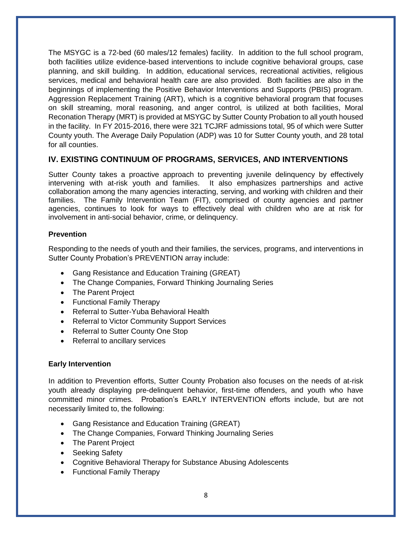The MSYGC is a 72-bed (60 males/12 females) facility. In addition to the full school program, both facilities utilize evidence-based interventions to include cognitive behavioral groups, case planning, and skill building. In addition, educational services, recreational activities, religious services, medical and behavioral health care are also provided. Both facilities are also in the beginnings of implementing the Positive Behavior Interventions and Supports (PBIS) program. Aggression Replacement Training (ART), which is a cognitive behavioral program that focuses on skill streaming, moral reasoning, and anger control, is utilized at both facilities, Moral Reconation Therapy (MRT) is provided at MSYGC by Sutter County Probation to all youth housed in the facility. In FY 2015-2016, there were 321 TCJRF admissions total, 95 of which were Sutter County youth. The Average Daily Population (ADP) was 10 for Sutter County youth, and 28 total for all counties.

#### **IV. EXISTING CONTINUUM OF PROGRAMS, SERVICES, AND INTERVENTIONS**

Sutter County takes a proactive approach to preventing juvenile delinquency by effectively intervening with at-risk youth and families. It also emphasizes partnerships and active collaboration among the many agencies interacting, serving, and working with children and their families. The Family Intervention Team (FIT), comprised of county agencies and partner agencies, continues to look for ways to effectively deal with children who are at risk for involvement in anti-social behavior, crime, or delinquency.

#### **Prevention**

Responding to the needs of youth and their families, the services, programs, and interventions in Sutter County Probation's PREVENTION array include:

- Gang Resistance and Education Training (GREAT)
- The Change Companies, Forward Thinking Journaling Series
- The Parent Project
- Functional Family Therapy
- Referral to Sutter-Yuba Behavioral Health
- Referral to Victor Community Support Services
- Referral to Sutter County One Stop
- Referral to ancillary services

#### **Early Intervention**

In addition to Prevention efforts, Sutter County Probation also focuses on the needs of at-risk youth already displaying pre-delinquent behavior, first-time offenders, and youth who have committed minor crimes. Probation's EARLY INTERVENTION efforts include, but are not necessarily limited to, the following:

- Gang Resistance and Education Training (GREAT)
- The Change Companies, Forward Thinking Journaling Series
- The Parent Project
- Seeking Safety
- Cognitive Behavioral Therapy for Substance Abusing Adolescents
- Functional Family Therapy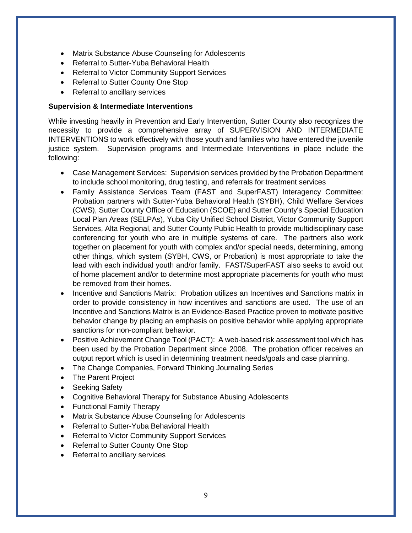- Matrix Substance Abuse Counseling for Adolescents
- Referral to Sutter-Yuba Behavioral Health
- Referral to Victor Community Support Services
- Referral to Sutter County One Stop
- Referral to ancillary services

#### **Supervision & Intermediate Interventions**

While investing heavily in Prevention and Early Intervention, Sutter County also recognizes the necessity to provide a comprehensive array of SUPERVISION AND INTERMEDIATE INTERVENTIONS to work effectively with those youth and families who have entered the juvenile justice system. Supervision programs and Intermediate Interventions in place include the following:

- Case Management Services: Supervision services provided by the Probation Department to include school monitoring, drug testing, and referrals for treatment services
- Family Assistance Services Team (FAST and SuperFAST) Interagency Committee: Probation partners with Sutter-Yuba Behavioral Health (SYBH), Child Welfare Services (CWS), Sutter County Office of Education (SCOE) and Sutter County's Special Education Local Plan Areas (SELPAs), Yuba City Unified School District, Victor Community Support Services, Alta Regional, and Sutter County Public Health to provide multidisciplinary case conferencing for youth who are in multiple systems of care. The partners also work together on placement for youth with complex and/or special needs, determining, among other things, which system (SYBH, CWS, or Probation) is most appropriate to take the lead with each individual youth and/or family. FAST/SuperFAST also seeks to avoid out of home placement and/or to determine most appropriate placements for youth who must be removed from their homes.
- Incentive and Sanctions Matrix: Probation utilizes an Incentives and Sanctions matrix in order to provide consistency in how incentives and sanctions are used. The use of an Incentive and Sanctions Matrix is an Evidence-Based Practice proven to motivate positive behavior change by placing an emphasis on positive behavior while applying appropriate sanctions for non-compliant behavior.
- Positive Achievement Change Tool (PACT): A web-based risk assessment tool which has been used by the Probation Department since 2008. The probation officer receives an output report which is used in determining treatment needs/goals and case planning.
- The Change Companies, Forward Thinking Journaling Series
- The Parent Project
- Seeking Safety
- Cognitive Behavioral Therapy for Substance Abusing Adolescents
- Functional Family Therapy
- Matrix Substance Abuse Counseling for Adolescents
- Referral to Sutter-Yuba Behavioral Health
- Referral to Victor Community Support Services
- Referral to Sutter County One Stop
- Referral to ancillary services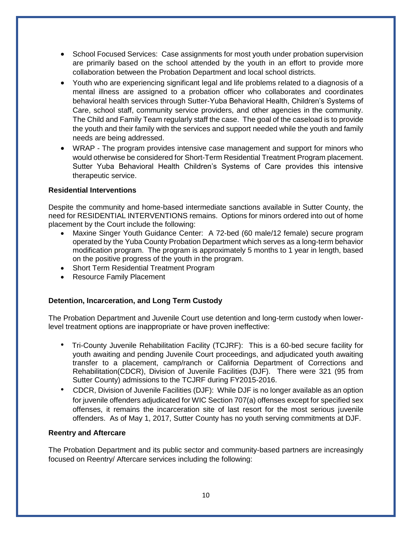- School Focused Services: Case assignments for most youth under probation supervision are primarily based on the school attended by the youth in an effort to provide more collaboration between the Probation Department and local school districts.
- Youth who are experiencing significant legal and life problems related to a diagnosis of a mental illness are assigned to a probation officer who collaborates and coordinates behavioral health services through Sutter-Yuba Behavioral Health, Children's Systems of Care, school staff, community service providers, and other agencies in the community. The Child and Family Team regularly staff the case. The goal of the caseload is to provide the youth and their family with the services and support needed while the youth and family needs are being addressed.
- WRAP The program provides intensive case management and support for minors who would otherwise be considered for Short-Term Residential Treatment Program placement. Sutter Yuba Behavioral Health Children's Systems of Care provides this intensive therapeutic service.

#### **Residential Interventions**

Despite the community and home-based intermediate sanctions available in Sutter County, the need for RESIDENTIAL INTERVENTIONS remains. Options for minors ordered into out of home placement by the Court include the following:

- Maxine Singer Youth Guidance Center: A 72-bed (60 male/12 female) secure program operated by the Yuba County Probation Department which serves as a long-term behavior modification program. The program is approximately 5 months to 1 year in length, based on the positive progress of the youth in the program.
- Short Term Residential Treatment Program
- Resource Family Placement

#### **Detention, Incarceration, and Long Term Custody**

The Probation Department and Juvenile Court use detention and long-term custody when lowerlevel treatment options are inappropriate or have proven ineffective:

- Tri-County Juvenile Rehabilitation Facility (TCJRF): This is a 60-bed secure facility for youth awaiting and pending Juvenile Court proceedings, and adjudicated youth awaiting transfer to a placement, camp/ranch or California Department of Corrections and Rehabilitation(CDCR), Division of Juvenile Facilities (DJF). There were 321 (95 from Sutter County) admissions to the TCJRF during FY2015-2016.
- CDCR, Division of Juvenile Facilities (DJF): While DJF is no longer available as an option for juvenile offenders adjudicated for WIC Section 707(a) offenses except for specified sex offenses, it remains the incarceration site of last resort for the most serious juvenile offenders. As of May 1, 2017, Sutter County has no youth serving commitments at DJF.

#### **Reentry and Aftercare**

The Probation Department and its public sector and community-based partners are increasingly focused on Reentry/ Aftercare services including the following: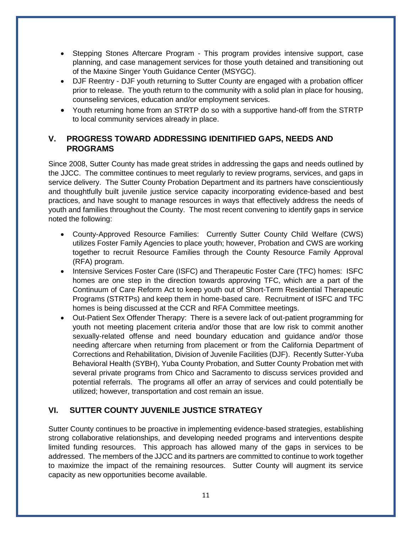- Stepping Stones Aftercare Program This program provides intensive support, case planning, and case management services for those youth detained and transitioning out of the Maxine Singer Youth Guidance Center (MSYGC).
- DJF Reentry DJF youth returning to Sutter County are engaged with a probation officer prior to release. The youth return to the community with a solid plan in place for housing, counseling services, education and/or employment services.
- Youth returning home from an STRTP do so with a supportive hand-off from the STRTP to local community services already in place.

#### **V. PROGRESS TOWARD ADDRESSING IDENITIFIED GAPS, NEEDS AND PROGRAMS**

Since 2008, Sutter County has made great strides in addressing the gaps and needs outlined by the JJCC. The committee continues to meet regularly to review programs, services, and gaps in service delivery. The Sutter County Probation Department and its partners have conscientiously and thoughtfully built juvenile justice service capacity incorporating evidence-based and best practices, and have sought to manage resources in ways that effectively address the needs of youth and families throughout the County. The most recent convening to identify gaps in service noted the following:

- County-Approved Resource Families: Currently Sutter County Child Welfare (CWS) utilizes Foster Family Agencies to place youth; however, Probation and CWS are working together to recruit Resource Families through the County Resource Family Approval (RFA) program.
- Intensive Services Foster Care (ISFC) and Therapeutic Foster Care (TFC) homes: ISFC homes are one step in the direction towards approving TFC, which are a part of the Continuum of Care Reform Act to keep youth out of Short-Term Residential Therapeutic Programs (STRTPs) and keep them in home-based care. Recruitment of ISFC and TFC homes is being discussed at the CCR and RFA Committee meetings.
- Out-Patient Sex Offender Therapy: There is a severe lack of out-patient programming for youth not meeting placement criteria and/or those that are low risk to commit another sexually-related offense and need boundary education and guidance and/or those needing aftercare when returning from placement or from the California Department of Corrections and Rehabilitation, Division of Juvenile Facilities (DJF). Recently Sutter-Yuba Behavioral Health (SYBH), Yuba County Probation, and Sutter County Probation met with several private programs from Chico and Sacramento to discuss services provided and potential referrals. The programs all offer an array of services and could potentially be utilized; however, transportation and cost remain an issue.

#### **VI. SUTTER COUNTY JUVENILE JUSTICE STRATEGY**

Sutter County continues to be proactive in implementing evidence-based strategies, establishing strong collaborative relationships, and developing needed programs and interventions despite limited funding resources. This approach has allowed many of the gaps in services to be addressed. The members of the JJCC and its partners are committed to continue to work together to maximize the impact of the remaining resources. Sutter County will augment its service capacity as new opportunities become available.